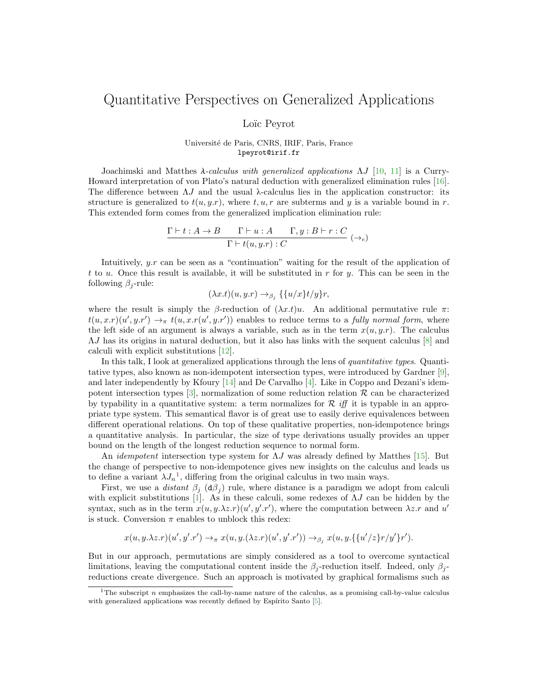## Quantitative Perspectives on Generalized Applications

Loïc Peyrot

Universit´e de Paris, CNRS, IRIF, Paris, France lpeyrot@irif.fr

Joachimski and Matthes  $\lambda$ -calculus with generalized applications  $\Lambda J$  [\[10,](#page-2-0) [11\]](#page-2-1) is a Curry-Howard interpretation of von Plato's natural deduction with generalized elimination rules [\[16\]](#page-2-2). The difference between  $\Lambda J$  and the usual  $\lambda$ -calculus lies in the application constructor: its structure is generalized to  $t(u, y, r)$ , where  $t, u, r$  are subterms and y is a variable bound in r. This extended form comes from the generalized implication elimination rule:

$$
\frac{\Gamma\vdash t:A\to B\qquad \Gamma\vdash u:A\qquad \Gamma,y:B\vdash r:C}{\Gamma\vdash t(u,y.r):C}~(\to_e)
$$

Intuitively, y.r can be seen as a "continuation" waiting for the result of the application of t to u. Once this result is available, it will be substituted in r for y. This can be seen in the following  $\beta_i$ -rule:

$$
(\lambda x.t)(u, y.r) \to_{\beta_j} \{ \{u/x\}t/y\}r,
$$

where the result is simply the β-reduction of  $(\lambda x.t)u$ . An additional permutative rule  $\pi$ :  $t(u, x.r)(u', y.r') \rightarrow_{\pi} t(u, x.r(u', y.r'))$  enables to reduce terms to a fully normal form, where the left side of an argument is always a variable, such as in the term  $x(u, y.r)$ . The calculus ΛJ has its origins in natural deduction, but it also has links with the sequent calculus [\[8\]](#page-2-3) and calculi with explicit substitutions [\[12\]](#page-2-4).

In this talk, I look at generalized applications through the lens of *quantitative types*. Quantitative types, also known as non-idempotent intersection types, were introduced by Gardner [\[9\]](#page-2-5), and later independently by Kfoury [\[14\]](#page-2-6) and De Carvalho [\[4\]](#page-1-0). Like in Coppo and Dezani's idempotent intersection types  $[3]$ , normalization of some reduction relation R can be characterized by typability in a quantitative system: a term normalizes for  $\mathcal R$  iff it is typable in an appropriate type system. This semantical flavor is of great use to easily derive equivalences between different operational relations. On top of these qualitative properties, non-idempotence brings a quantitative analysis. In particular, the size of type derivations usually provides an upper bound on the length of the longest reduction sequence to normal form.

An *idempotent* intersection type system for  $\Lambda J$  was already defined by Matthes [\[15\]](#page-2-7). But the change of perspective to non-idempotence gives new insights on the calculus and leads us to define a variant  $\lambda J_n^1$  $\lambda J_n^1$ , differing from the original calculus in two main ways.

First, we use a *distant*  $\beta_j$  ( $d\beta_j$ ) rule, where distance is a paradigm we adopt from calculi with explicit substitutions [\[1\]](#page-1-2). As in these calculi, some redexes of  $\Lambda J$  can be hidden by the syntax, such as in the term  $x(u, y.\lambda z.r)(u', y'.r')$ , where the computation between  $\lambda z.r$  and u' is stuck. Conversion  $\pi$  enables to unblock this redex:

$$
x(u, y.\lambda z.r)(u', y'.r') \rightarrow_{\pi} x(u, y.(\lambda z.r)(u', y'.r')) \rightarrow_{\beta_j} x(u, y. \{\{u'/z\}r/y'\}r').
$$

But in our approach, permutations are simply considered as a tool to overcome syntactical limitations, leaving the computational content inside the  $\beta_i$ -reduction itself. Indeed, only  $\beta_i$ reductions create divergence. Such an approach is motivated by graphical formalisms such as

<span id="page-0-0"></span><sup>&</sup>lt;sup>1</sup>The subscript n emphasizes the call-by-name nature of the calculus, as a promising call-by-value calculus with generalized applications was recently defined by Espírito Santo [\[5\]](#page-1-3).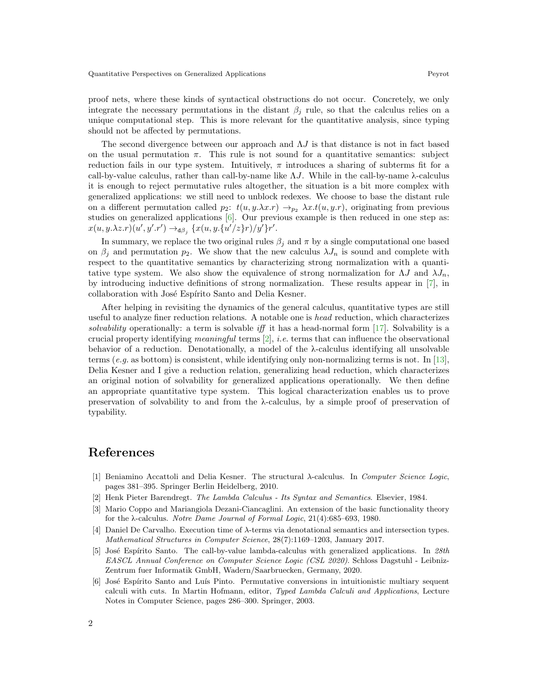proof nets, where these kinds of syntactical obstructions do not occur. Concretely, we only integrate the necessary permutations in the distant  $\beta_j$  rule, so that the calculus relies on a unique computational step. This is more relevant for the quantitative analysis, since typing should not be affected by permutations.

The second divergence between our approach and  $\Lambda J$  is that distance is not in fact based on the usual permutation  $\pi$ . This rule is not sound for a quantitative semantics: subject reduction fails in our type system. Intuitively,  $\pi$  introduces a sharing of subterms fit for a call-by-value calculus, rather than call-by-name like  $\Lambda J$ . While in the call-by-name  $\lambda$ -calculus it is enough to reject permutative rules altogether, the situation is a bit more complex with generalized applications: we still need to unblock redexes. We choose to base the distant rule on a different permutation called  $p_2$ :  $t(u, y.\lambda x.r) \rightarrow_{p_2} \lambda x.t(u, y.r)$ , originating from previous studies on generalized applications [\[6\]](#page-1-4). Our previous example is then reduced in one step as:  $x(u, y.\lambda z.r)(u', y'.r') \rightarrow_{\mathbf{d}\beta_j} \{x(u, y.\{u'/z\}r)/y'\}r'.$ 

In summary, we replace the two original rules  $\beta_j$  and  $\pi$  by a single computational one based on  $\beta_i$  and permutation  $p_2$ . We show that the new calculus  $\lambda J_n$  is sound and complete with respect to the quantitative semantics by characterizing strong normalization with a quantitative type system. We also show the equivalence of strong normalization for  $\Lambda J$  and  $\lambda J_n$ , by introducing inductive definitions of strong normalization. These results appear in [\[7\]](#page-2-8), in collaboration with José Espírito Santo and Delia Kesner.

After helping in revisiting the dynamics of the general calculus, quantitative types are still useful to analyze finer reduction relations. A notable one is head reduction, which characterizes solvability operationally: a term is solvable iff it has a head-normal form  $[17]$ . Solvability is a crucial property identifying meaningful terms  $[2]$ , *i.e.* terms that can influence the observational behavior of a reduction. Denotationally, a model of the  $\lambda$ -calculus identifying all unsolvable terms (e.g. as bottom) is consistent, while identifying only non-normalizing terms is not. In [\[13\]](#page-2-10), Delia Kesner and I give a reduction relation, generalizing head reduction, which characterizes an original notion of solvability for generalized applications operationally. We then define an appropriate quantitative type system. This logical characterization enables us to prove preservation of solvability to and from the λ-calculus, by a simple proof of preservation of typability.

## References

- <span id="page-1-2"></span>[1] Beniamino Accattoli and Delia Kesner. The structural  $\lambda$ -calculus. In Computer Science Logic, pages 381–395. Springer Berlin Heidelberg, 2010.
- <span id="page-1-5"></span>[2] Henk Pieter Barendregt. The Lambda Calculus - Its Syntax and Semantics. Elsevier, 1984.
- <span id="page-1-1"></span>[3] Mario Coppo and Mariangiola Dezani-Ciancaglini. An extension of the basic functionality theory for the  $\lambda$ -calculus. Notre Dame Journal of Formal Logic, 21(4):685–693, 1980.
- <span id="page-1-0"></span>[4] Daniel De Carvalho. Execution time of λ-terms via denotational semantics and intersection types. Mathematical Structures in Computer Science, 28(7):1169–1203, January 2017.
- <span id="page-1-3"></span>[5] José Espírito Santo. The call-by-value lambda-calculus with generalized applications. In 28th EASCL Annual Conference on Computer Science Logic (CSL 2020). Schloss Dagstuhl - Leibniz-Zentrum fuer Informatik GmbH, Wadern/Saarbruecken, Germany, 2020.
- <span id="page-1-4"></span>[6] José Espírito Santo and Luís Pinto. Permutative conversions in intuitionistic multiary sequent calculi with cuts. In Martin Hofmann, editor, Typed Lambda Calculi and Applications, Lecture Notes in Computer Science, pages 286–300. Springer, 2003.